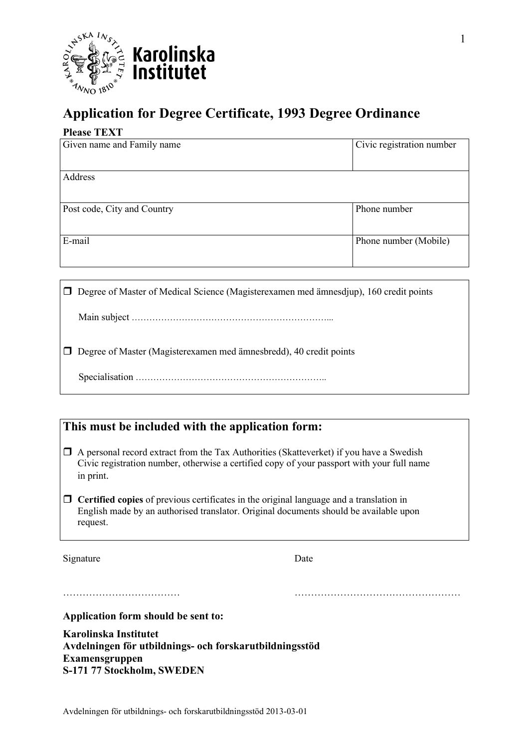

# **Application for Degree Certificate, 1993 Degree Ordinance**

#### **Please TEXT**

| Given name and Family name  | Civic registration number |
|-----------------------------|---------------------------|
| Address                     |                           |
| Post code, City and Country | Phone number              |
| E-mail                      | Phone number (Mobile)     |

| $\Box$ Degree of Master of Medical Science (Magister examen med ämnesdjup), 160 credit points |
|-----------------------------------------------------------------------------------------------|
|                                                                                               |
| $\Box$ Degree of Master (Magister examen med ämnes bredd), 40 credit points                   |
|                                                                                               |

# **This must be included with the application form:**

- $\Box$  A personal record extract from the Tax Authorities (Skatteverket) if you have a Swedish Civic registration number, otherwise a certified copy of your passport with your full name in print.
- **Certified copies** of previous certificates in the original language and a translation in English made by an authorised translator. Original documents should be available upon request.

……………………………… ……………………………………………

Signature Date

**Application form should be sent to:** 

**Karolinska Institutet Avdelningen för utbildnings- och forskarutbildningsstöd Examensgruppen S-171 77 Stockholm, SWEDEN**